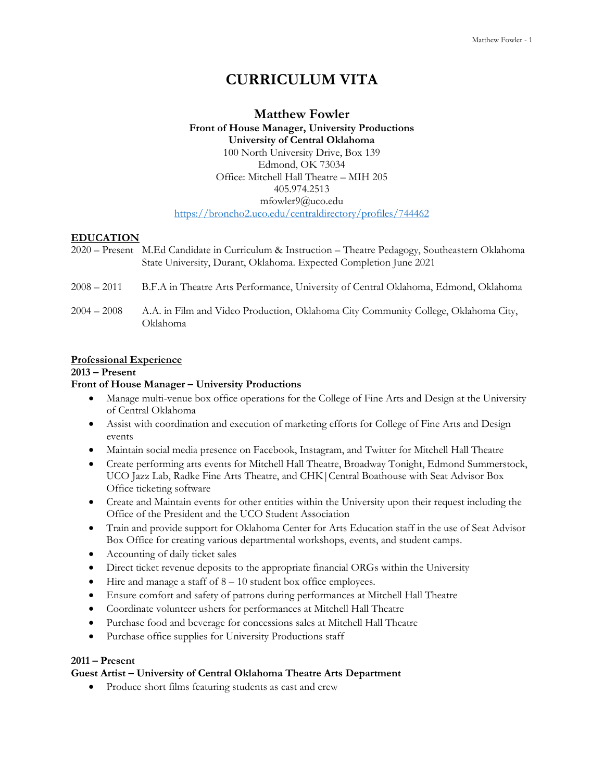# **CURRICULUM VITA**

# **Matthew Fowler Front of House Manager, University Productions University of Central Oklahoma** 100 North University Drive, Box 139 Edmond, OK 73034 Office: Mitchell Hall Theatre – MIH 205 405.974.2513 mfowler9@uco.edu <https://broncho2.uco.edu/centraldirectory/profiles/744462>

# **EDUCATION**

|               | 2020 – Present M.Ed Candidate in Curriculum & Instruction – Theatre Pedagogy, Southeastern Oklahoma<br>State University, Durant, Oklahoma. Expected Completion June 2021 |
|---------------|--------------------------------------------------------------------------------------------------------------------------------------------------------------------------|
| $2008 - 2011$ | B.F.A in Theatre Arts Performance, University of Central Oklahoma, Edmond, Oklahoma                                                                                      |
| $2004 - 2008$ | A.A. in Film and Video Production, Oklahoma City Community College, Oklahoma City,<br>Oklahoma                                                                           |

## **Professional Experience**

**2013 – Present**

# **Front of House Manager – University Productions**

- Manage multi-venue box office operations for the College of Fine Arts and Design at the University of Central Oklahoma
- Assist with coordination and execution of marketing efforts for College of Fine Arts and Design events
- Maintain social media presence on Facebook, Instagram, and Twitter for Mitchell Hall Theatre
- Create performing arts events for Mitchell Hall Theatre, Broadway Tonight, Edmond Summerstock, UCO Jazz Lab, Radke Fine Arts Theatre, and CHK|Central Boathouse with Seat Advisor Box Office ticketing software
- Create and Maintain events for other entities within the University upon their request including the Office of the President and the UCO Student Association
- Train and provide support for Oklahoma Center for Arts Education staff in the use of Seat Advisor Box Office for creating various departmental workshops, events, and student camps.
- Accounting of daily ticket sales
- Direct ticket revenue deposits to the appropriate financial ORGs within the University
- Hire and manage a staff of 8 10 student box office employees.
- Ensure comfort and safety of patrons during performances at Mitchell Hall Theatre
- Coordinate volunteer ushers for performances at Mitchell Hall Theatre
- Purchase food and beverage for concessions sales at Mitchell Hall Theatre
- Purchase office supplies for University Productions staff

# **2011 – Present**

# **Guest Artist – University of Central Oklahoma Theatre Arts Department**

• Produce short films featuring students as cast and crew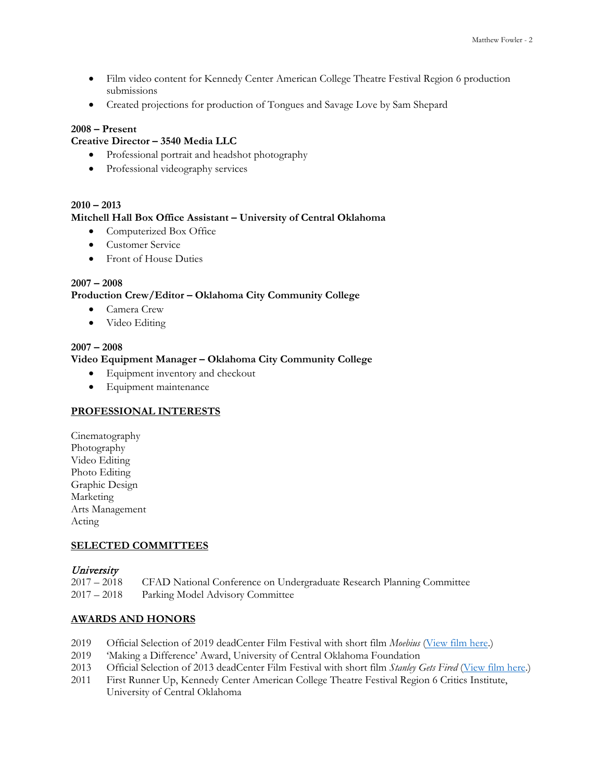- Film video content for Kennedy Center American College Theatre Festival Region 6 production submissions
- Created projections for production of Tongues and Savage Love by Sam Shepard

# **2008 – Present**

# **Creative Director – 3540 Media LLC**

- Professional portrait and headshot photography
- Professional videography services

# **2010 – 2013**

## **Mitchell Hall Box Office Assistant – University of Central Oklahoma**

- Computerized Box Office
- Customer Service
- Front of House Duties

# **2007 – 2008 Production Crew/Editor – Oklahoma City Community College**

- Camera Crew
- Video Editing

# **2007 – 2008**

## **Video Equipment Manager – Oklahoma City Community College**

- Equipment inventory and checkout
- Equipment maintenance

## **PROFESSIONAL INTERESTS**

Cinematography Photography Video Editing Photo Editing Graphic Design Marketing Arts Management Acting

## **SELECTED COMMITTEES**

## **University**

2017 – 2018 CFAD National Conference on Undergraduate Research Planning Committee Parking Model Advisory Committee

## **AWARDS AND HONORS**

- 2019 Official Selection of 2019 deadCenter Film Festival with short film *Moebius* [\(View film here.](https://youtu.be/RfDKRQBUne0))
- 2019 'Making a Difference' Award, University of Central Oklahoma Foundation
- 2013 Official Selection of 2013 deadCenter Film Festival with short film *Stanley Gets Fired* [\(View film here.](https://youtu.be/Oqi_w6OrJeY))
- 2011 First Runner Up, Kennedy Center American College Theatre Festival Region 6 Critics Institute, University of Central Oklahoma